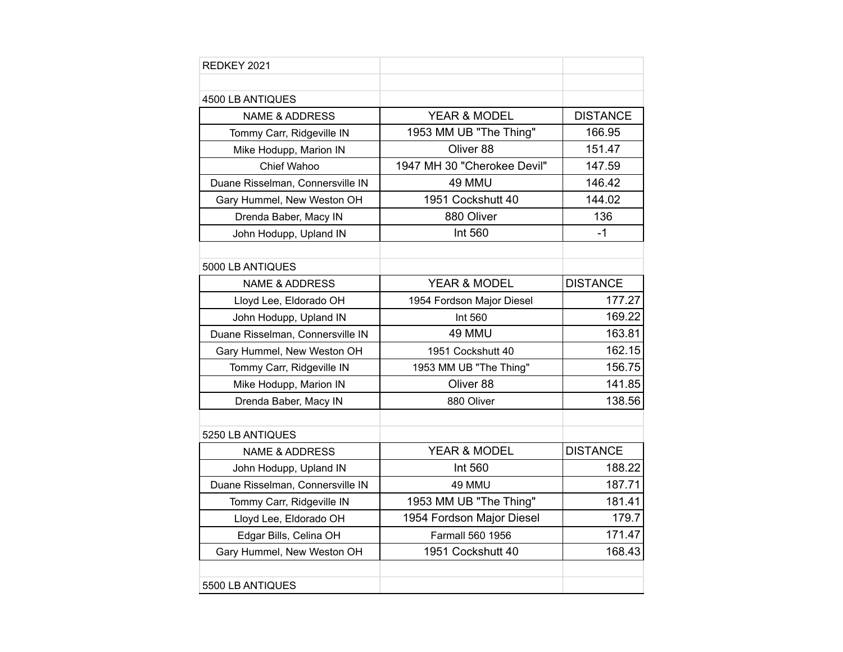| REDKEY 2021                      |                             |                 |
|----------------------------------|-----------------------------|-----------------|
|                                  |                             |                 |
| 4500 LB ANTIQUES                 |                             |                 |
| <b>NAME &amp; ADDRESS</b>        | <b>YEAR &amp; MODEL</b>     | <b>DISTANCE</b> |
| Tommy Carr, Ridgeville IN        | 1953 MM UB "The Thing"      | 166.95          |
| Mike Hodupp, Marion IN           | Oliver 88                   | 151.47          |
| Chief Wahoo                      | 1947 MH 30 "Cherokee Devil" | 147.59          |
| Duane Risselman, Connersville IN | 49 MMU                      | 146.42          |
| Gary Hummel, New Weston OH       | 1951 Cockshutt 40           | 144.02          |
| Drenda Baber, Macy IN            | 880 Oliver                  | 136             |
| John Hodupp, Upland IN           | Int 560                     | $-1$            |
|                                  |                             |                 |
| 5000 LB ANTIQUES                 |                             |                 |
| <b>NAME &amp; ADDRESS</b>        | <b>YEAR &amp; MODEL</b>     | <b>DISTANCE</b> |
| Lloyd Lee, Eldorado OH           | 1954 Fordson Major Diesel   | 177.27          |
| John Hodupp, Upland IN           | Int 560                     | 169.22          |
| Duane Risselman, Connersville IN | 49 MMU                      | 163.81          |
| Gary Hummel, New Weston OH       | 1951 Cockshutt 40           | 162.15          |
| Tommy Carr, Ridgeville IN        | 1953 MM UB "The Thing"      | 156.75          |
| Mike Hodupp, Marion IN           | Oliver 88                   | 141.85          |
| Drenda Baber, Macy IN            | 880 Oliver                  | 138.56          |
|                                  |                             |                 |
| 5250 LB ANTIQUES                 |                             |                 |
| <b>NAME &amp; ADDRESS</b>        | YEAR & MODEL                | <b>DISTANCE</b> |
| John Hodupp, Upland IN           | Int 560                     | 188.22          |
| Duane Risselman, Connersville IN | 49 MMU                      | 187.71          |
| Tommy Carr, Ridgeville IN        | 1953 MM UB "The Thing"      | 181.41          |
| Lloyd Lee, Eldorado OH           | 1954 Fordson Major Diesel   | 179.7           |
| Edgar Bills, Celina OH           | <b>Farmall 560 1956</b>     | 171.47          |
| Gary Hummel, New Weston OH       | 1951 Cockshutt 40           | 168.43          |
|                                  |                             |                 |
| 5500 LB ANTIQUES                 |                             |                 |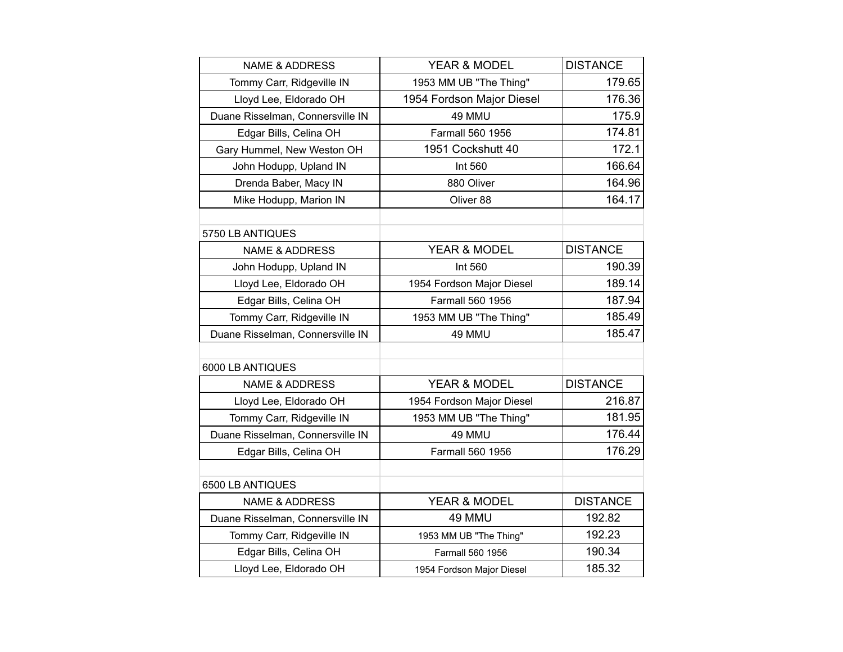| <b>NAME &amp; ADDRESS</b>        | YEAR & MODEL              | <b>DISTANCE</b> |
|----------------------------------|---------------------------|-----------------|
| Tommy Carr, Ridgeville IN        | 1953 MM UB "The Thing"    | 179.65          |
| Lloyd Lee, Eldorado OH           | 1954 Fordson Major Diesel | 176.36          |
| Duane Risselman, Connersville IN | 49 MMU                    | 175.9           |
| Edgar Bills, Celina OH           | Farmall 560 1956          | 174.81          |
| Gary Hummel, New Weston OH       | 1951 Cockshutt 40         | 172.1           |
| John Hodupp, Upland IN           | Int 560                   | 166.64          |
| Drenda Baber, Macy IN            | 880 Oliver                | 164.96          |
| Mike Hodupp, Marion IN           | Oliver 88                 | 164.17          |
| 5750 LB ANTIQUES                 |                           |                 |
| <b>NAME &amp; ADDRESS</b>        | YEAR & MODEL              | <b>DISTANCE</b> |
| John Hodupp, Upland IN           | Int 560                   | 190.39          |
| Lloyd Lee, Eldorado OH           | 1954 Fordson Major Diesel | 189.14          |
| Edgar Bills, Celina OH           | Farmall 560 1956          | 187.94          |
| Tommy Carr, Ridgeville IN        | 1953 MM UB "The Thing"    | 185.49          |
| Duane Risselman, Connersville IN | 49 MMU                    | 185.47          |
|                                  |                           |                 |
| 6000 LB ANTIQUES                 |                           |                 |
| <b>NAME &amp; ADDRESS</b>        | YEAR & MODEL              | <b>DISTANCE</b> |
| Lloyd Lee, Eldorado OH           | 1954 Fordson Major Diesel | 216.87          |
| Tommy Carr, Ridgeville IN        | 1953 MM UB "The Thing"    | 181.95          |
| Duane Risselman, Connersville IN | 49 MMU                    | 176.44          |
| Edgar Bills, Celina OH           | Farmall 560 1956          | 176.29          |
|                                  |                           |                 |
| 6500 LB ANTIQUES                 |                           |                 |
| <b>NAME &amp; ADDRESS</b>        | YEAR & MODEL              | <b>DISTANCE</b> |
| Duane Risselman, Connersville IN | 49 MMU                    | 192.82          |
| Tommy Carr, Ridgeville IN        | 1953 MM UB "The Thing"    | 192.23          |
| Edgar Bills, Celina OH           | <b>Farmall 560 1956</b>   | 190.34          |
| Lloyd Lee, Eldorado OH           | 1954 Fordson Major Diesel | 185.32          |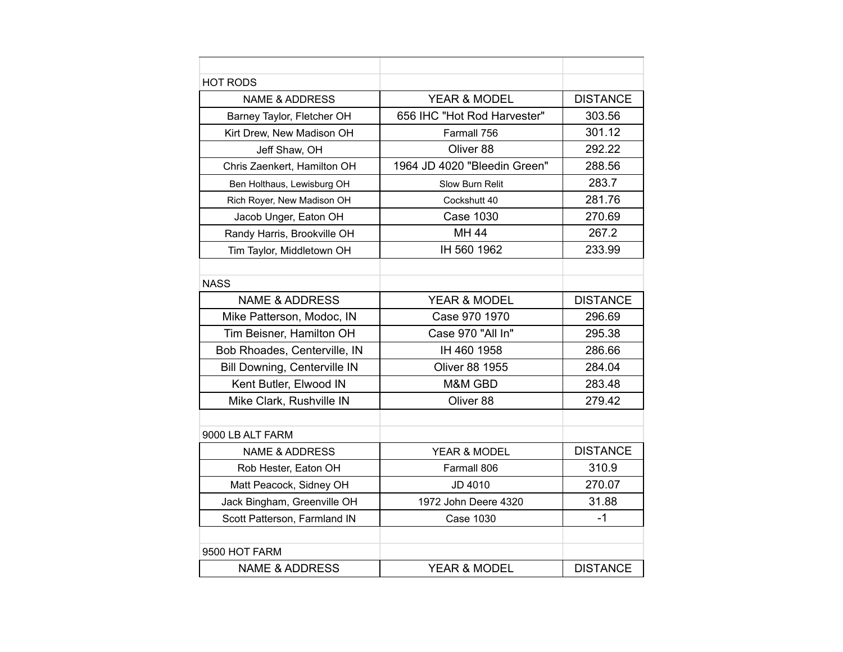| <b>HOT RODS</b>              |                              |                 |
|------------------------------|------------------------------|-----------------|
| <b>NAME &amp; ADDRESS</b>    | YEAR & MODEL                 | <b>DISTANCE</b> |
| Barney Taylor, Fletcher OH   | 656 IHC "Hot Rod Harvester"  | 303.56          |
| Kirt Drew, New Madison OH    | Farmall 756                  | 301.12          |
| Jeff Shaw, OH                | Oliver 88                    | 292.22          |
| Chris Zaenkert, Hamilton OH  | 1964 JD 4020 "Bleedin Green" | 288.56          |
| Ben Holthaus, Lewisburg OH   | Slow Burn Relit              | 283.7           |
| Rich Royer, New Madison OH   | Cockshutt 40                 | 281.76          |
| Jacob Unger, Eaton OH        | <b>Case 1030</b>             | 270.69          |
| Randy Harris, Brookville OH  | <b>MH 44</b>                 | 267.2           |
| Tim Taylor, Middletown OH    | IH 560 1962                  | 233.99          |
|                              |                              |                 |
| <b>NASS</b>                  |                              |                 |
| <b>NAME &amp; ADDRESS</b>    | <b>YEAR &amp; MODEL</b>      | <b>DISTANCE</b> |
| Mike Patterson, Modoc, IN    | Case 970 1970                | 296.69          |
| Tim Beisner, Hamilton OH     | Case 970 "All In"            | 295.38          |
| Bob Rhoades, Centerville, IN | IH 460 1958                  | 286.66          |
| Bill Downing, Centerville IN | <b>Oliver 88 1955</b>        | 284.04          |
| Kent Butler, Elwood IN       | M&M GBD                      | 283.48          |
| Mike Clark, Rushville IN     | Oliver 88                    | 279.42          |
|                              |                              |                 |
| 9000 LB ALT FARM             |                              |                 |
| <b>NAME &amp; ADDRESS</b>    | YEAR & MODEL                 | <b>DISTANCE</b> |
| Rob Hester, Eaton OH         | Farmall 806                  | 310.9           |
| Matt Peacock, Sidney OH      | JD 4010                      | 270.07          |
| Jack Bingham, Greenville OH  | 1972 John Deere 4320         | 31.88           |
| Scott Patterson, Farmland IN | <b>Case 1030</b>             | $-1$            |
|                              |                              |                 |
| 9500 HOT FARM                |                              |                 |
| <b>NAME &amp; ADDRESS</b>    | <b>YEAR &amp; MODEL</b>      | <b>DISTANCE</b> |